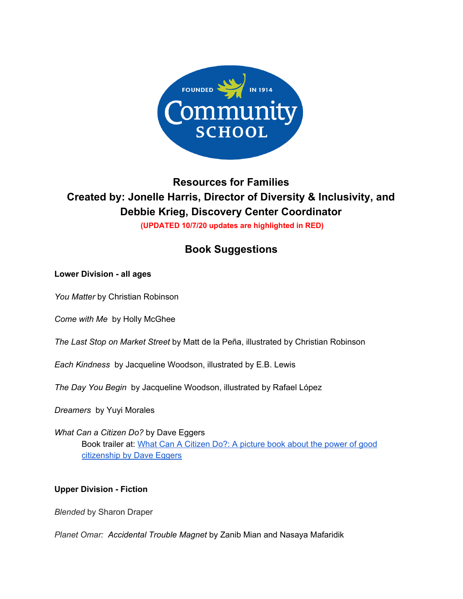

# **Resources for Families Created by: Jonelle Harris, Director of Diversity & Inclusivity, and Debbie Krieg, Discovery Center Coordinator (UPDATED 10/7/20 updates are highlighted in RED)**

# **Book Suggestions**

# **Lower Division - all ages**

*You Matter* by Christian Robinson

*Come with Me* by Holly McGhee

*The Last Stop on Market Street* by Matt de la Peña, illustrated by Christian Robinson

*Each Kindness* by Jacqueline Woodson, illustrated by E.B. Lewis

*The Day You Begin* by Jacqueline Woodson, illustrated by Rafael López

*Dreamers* by Yuyi Morales

*What Can a Citizen Do?* by Dave Eggers Book trailer at: What Can A [Citizen](https://www.youtube.com/watch?v=wzfk5xib-DU) Do?: A picture book about the power of good [citizenship](https://www.youtube.com/watch?v=wzfk5xib-DU) by Dave Eggers

# **Upper Division - Fiction**

*Blended* by Sharon Draper

*Planet Omar: Accidental Trouble Magnet* by Zanib Mian and Nasaya Mafaridik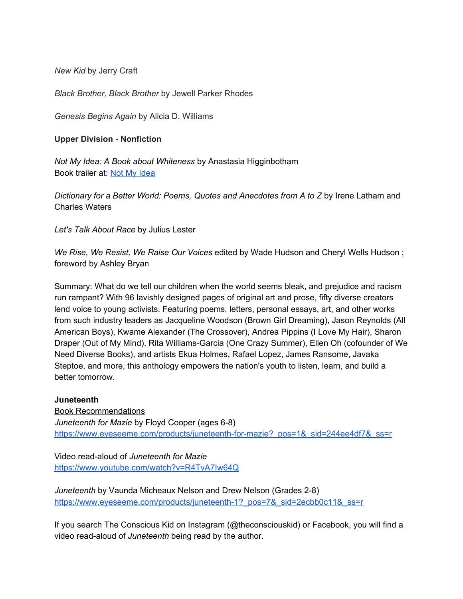*New Kid* by Jerry Craft

*Black Brother, Black Brother* by Jewell Parker Rhodes

*Genesis Begins Again* by Alicia D. Williams

#### **Upper Division - Nonfiction**

*Not My Idea: A Book about Whiteness* by Anastasia Higginbotham Book trailer at: Not My [Idea](https://anastasiahigginbotham.com/not-my-idea/)

*Dictionary for a Better World: Poems, Quotes and Anecdotes from A to Z* by Irene Latham and Charles Waters

*Let's Talk About Race* by Julius Lester

*We Rise, We Resist, We Raise Our Voices* edited by Wade Hudson and Cheryl Wells Hudson ; foreword by Ashley Bryan

Summary: What do we tell our children when the world seems bleak, and prejudice and racism run rampant? With 96 lavishly designed pages of original art and prose, fifty diverse creators lend voice to young activists. Featuring poems, letters, personal essays, art, and other works from such industry leaders as Jacqueline Woodson (Brown Girl Dreaming), Jason Reynolds (All American Boys), Kwame Alexander (The Crossover), Andrea Pippins (I Love My Hair), Sharon Draper (Out of My Mind), Rita Williams-Garcia (One Crazy Summer), Ellen Oh (cofounder of We Need Diverse Books), and artists Ekua Holmes, Rafael Lopez, James Ransome, Javaka Steptoe, and more, this anthology empowers the nation's youth to listen, learn, and build a better tomorrow.

#### **Juneteenth**

Book Recommendations *Juneteenth for Mazie* by Floyd Cooper (ages 6-8) [https://www.eyeseeme.com/products/juneteenth-for-mazie?\\_pos=1&\\_sid=244ee4df7&\\_ss=r](https://www.eyeseeme.com/products/juneteenth-for-mazie?_pos=1&_sid=244ee4df7&_ss=r)

Video read-aloud of *Juneteenth for Mazie* <https://www.youtube.com/watch?v=R4TvA7Iw64Q>

*Juneteenth* by Vaunda Micheaux Nelson and Drew Nelson (Grades 2-8) [https://www.eyeseeme.com/products/juneteenth-1?\\_pos=7&\\_sid=2ecbb0c11&\\_ss=r](https://www.eyeseeme.com/products/juneteenth-1?_pos=7&_sid=2ecbb0c11&_ss=r)

If you search The Conscious Kid on Instagram (@theconsciouskid) or Facebook, you will find a video read-aloud of *Juneteenth* being read by the author.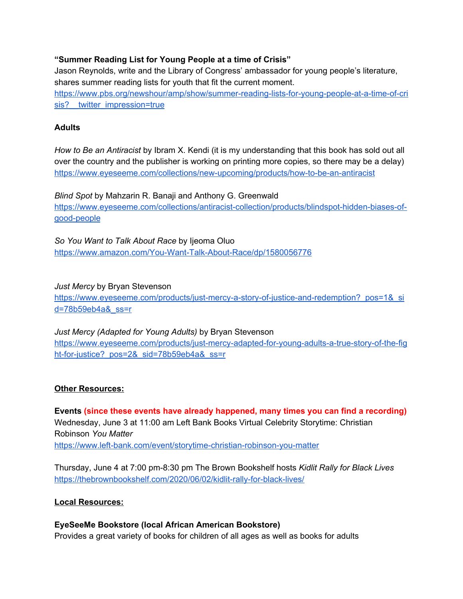# **"Summer Reading List for Young People at a time of Crisis"**

Jason Reynolds, write and the Library of Congress' ambassador for young people's literature, shares summer reading lists for youth that fit the current moment.

[https://www.pbs.org/newshour/amp/show/summer-reading-lists-for-young-people-at-a-time-of-cri](https://www.pbs.org/newshour/amp/show/summer-reading-lists-for-young-people-at-a-time-of-crisis?__twitter_impression=true) sis? twitter\_impression=true

# **Adults**

*How to Be an Antiracist* by Ibram X. Kendi (it is my understanding that this book has sold out all over the country and the publisher is working on printing more copies, so there may be a delay) <https://www.eyeseeme.com/collections/new-upcoming/products/how-to-be-an-antiracist>

*Blind Spot* by Mahzarin R. Banaji and Anthony G. Greenwald [https://www.eyeseeme.com/collections/antiracist-collection/products/blindspot-hidden-biases-of](https://www.eyeseeme.com/collections/antiracist-collection/products/blindspot-hidden-biases-of-good-people)[good-people](https://www.eyeseeme.com/collections/antiracist-collection/products/blindspot-hidden-biases-of-good-people)

*So You Want to Talk About Race* by Ijeoma Oluo <https://www.amazon.com/You-Want-Talk-About-Race/dp/1580056776>

*Just Mercy* by Bryan Stevenson

https://www.eyeseeme.com/products/just-mercy-a-story-of-justice-and-redemption? pos=1& si [d=78b59eb4a&\\_ss=r](https://www.eyeseeme.com/products/just-mercy-a-story-of-justice-and-redemption?_pos=1&_sid=78b59eb4a&_ss=r)

*Just Mercy (Adapted for Young Adults)* by Bryan Stevenson [https://www.eyeseeme.com/products/just-mercy-adapted-for-young-adults-a-true-story-of-the-fig](https://www.eyeseeme.com/products/just-mercy-adapted-for-young-adults-a-true-story-of-the-fight-for-justice?_pos=2&_sid=78b59eb4a&_ss=r) ht-for-justice? pos=2& sid=78b59eb4a& ss=r

# **Other Resources:**

**Events (since these events have already happened, many times you can find a recording)** Wednesday, June 3 at 11:00 am Left Bank Books Virtual Celebrity Storytime: Christian Robinson *You Matter* <https://www.left-bank.com/event/storytime-christian-robinson-you-matter>

Thursday, June 4 at 7:00 pm-8:30 pm The Brown Bookshelf hosts *Kidlit Rally for Black Lives* <https://thebrownbookshelf.com/2020/06/02/kidlit-rally-for-black-lives/>

## **Local Resources:**

**EyeSeeMe Bookstore (local African American Bookstore)** Provides a great variety of books for children of all ages as well as books for adults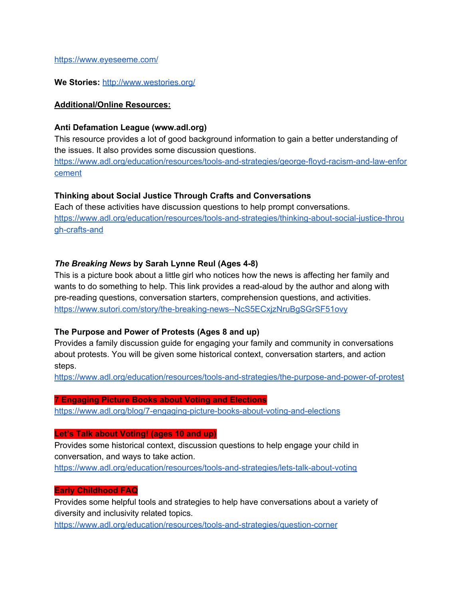<https://www.eyeseeme.com/>

**We Stories:** <http://www.westories.org/>

#### **Additional/Online Resources:**

#### **Anti Defamation League (www.adl.org)**

This resource provides a lot of good background information to gain a better understanding of the issues. It also provides some discussion questions.

[https://www.adl.org/education/resources/tools-and-strategies/george-floyd-racism-and-law-enfor](https://www.adl.org/education/resources/tools-and-strategies/george-floyd-racism-and-law-enforcement) [cement](https://www.adl.org/education/resources/tools-and-strategies/george-floyd-racism-and-law-enforcement)

#### **Thinking about Social Justice Through Crafts and Conversations**

Each of these activities have discussion questions to help prompt conversations. [https://www.adl.org/education/resources/tools-and-strategies/thinking-about-social-justice-throu](https://www.adl.org/education/resources/tools-and-strategies/thinking-about-social-justice-through-crafts-and) [gh-crafts-and](https://www.adl.org/education/resources/tools-and-strategies/thinking-about-social-justice-through-crafts-and)

#### *The Breaking News* **by Sarah Lynne Reul (Ages 4-8)**

This is a picture book about a little girl who notices how the news is affecting her family and wants to do something to help. This link provides a read-aloud by the author and along with pre-reading questions, conversation starters, comprehension questions, and activities. <https://www.sutori.com/story/the-breaking-news--NcS5ECxjzNruBgSGrSF51ovy>

## **The Purpose and Power of Protests (Ages 8 and up)**

Provides a family discussion guide for engaging your family and community in conversations about protests. You will be given some historical context, conversation starters, and action steps.

<https://www.adl.org/education/resources/tools-and-strategies/the-purpose-and-power-of-protest>

#### **7 Engaging Picture Books about Voting and Elections**

<https://www.adl.org/blog/7-engaging-picture-books-about-voting-and-elections>

#### **Let's Talk about Voting! (ages 10 and up)**

Provides some historical context, discussion questions to help engage your child in conversation, and ways to take action.

<https://www.adl.org/education/resources/tools-and-strategies/lets-talk-about-voting>

#### **Early Childhood FAQ**

Provides some helpful tools and strategies to help have conversations about a variety of diversity and inclusivity related topics.

<https://www.adl.org/education/resources/tools-and-strategies/question-corner>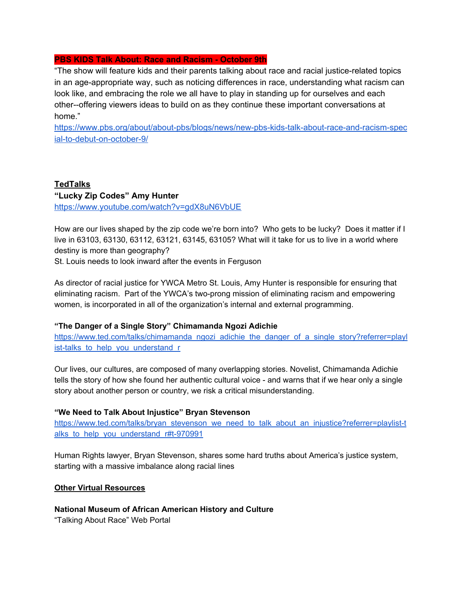#### **PBS KIDS Talk About: Race and Racism - October 9th**

"The show will feature kids and their parents talking about race and racial justice-related topics in an age-appropriate way, such as noticing differences in race, understanding what racism can look like, and embracing the role we all have to play in standing up for ourselves and each other--offering viewers ideas to build on as they continue these important conversations at home."

[https://www.pbs.org/about/about-pbs/blogs/news/new-pbs-kids-talk-about-race-and-racism-spec](https://www.pbs.org/about/about-pbs/blogs/news/new-pbs-kids-talk-about-race-and-racism-special-to-debut-on-october-9/) [ial-to-debut-on-october-9/](https://www.pbs.org/about/about-pbs/blogs/news/new-pbs-kids-talk-about-race-and-racism-special-to-debut-on-october-9/)

# **TedTalks**

## **"Lucky Zip Codes" Amy Hunter**

<https://www.youtube.com/watch?v=gdX8uN6VbUE>

How are our lives shaped by the zip code we're born into? Who gets to be lucky? Does it matter if I live in 63103, 63130, 63112, 63121, 63145, 63105? What will it take for us to live in a world where destiny is more than geography?

St. Louis needs to look inward after the events in Ferguson

As director of racial justice for YWCA Metro St. Louis, Amy Hunter is responsible for ensuring that eliminating racism. Part of the YWCA's two-prong mission of eliminating racism and empowering women, is incorporated in all of the organization's internal and external programming.

## **"The Danger of a Single Story" Chimamanda Ngozi Adichie**

[https://www.ted.com/talks/chimamanda\\_ngozi\\_adichie\\_the\\_danger\\_of\\_a\\_single\\_story?referrer=playl](https://www.ted.com/talks/chimamanda_ngozi_adichie_the_danger_of_a_single_story?referrer=playlist-talks_to_help_you_understand_r) ist-talks to help you understand r

Our lives, our cultures, are composed of many overlapping stories. Novelist, Chimamanda Adichie tells the story of how she found her authentic cultural voice - and warns that if we hear only a single story about another person or country, we risk a critical misunderstanding.

## **"We Need to Talk About Injustice" Bryan Stevenson**

[https://www.ted.com/talks/bryan\\_stevenson\\_we\\_need\\_to\\_talk\\_about\\_an\\_injustice?referrer=playlist-t](https://www.ted.com/talks/bryan_stevenson_we_need_to_talk_about_an_injustice?referrer=playlist-talks_to_help_you_understand_r#t-970991) alks to help you understand r#t-970991

Human Rights lawyer, Bryan Stevenson, shares some hard truths about America's justice system, starting with a massive imbalance along racial lines

## **Other Virtual Resources**

## **National Museum of African American History and Culture**

"Talking About Race" Web Portal